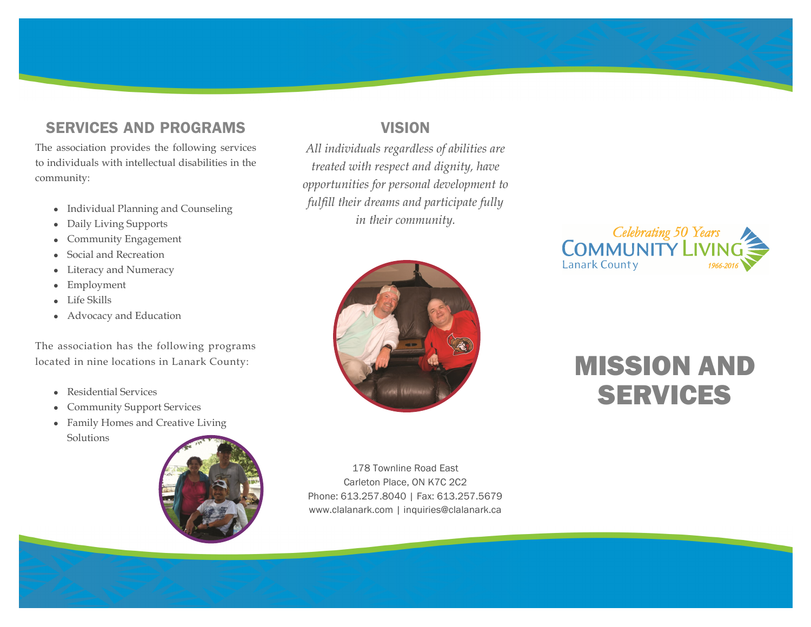# SERVICES AND PROGRAMS

The association provides the following services to individuals with intellectual disabilities in the community:

- Individual Planning and Counseling
- Daily Living Supports
- Community Engagement
- Social and Recreation
- Literacy and Numeracy
- Employment
- Life Skills
- Advocacy and Education

The association has the following programs located in nine locations in Lanark County:

- Residential Services
- Community Support Services
- Family Homes and Creative Living Solutions



# VISION

*All individuals regardless of abilities are treated with respect and dignity, have opportunities for personal development to fulfill their dreams and participate fully in their community.*





# MISSION AND SERVICES

178 Townline Road East Carleton Place, ON K7C 2C2 Phone: 613.257.8040 | Fax: 613.257.5679 www.clalanark.com | inquiries@clalanark.ca